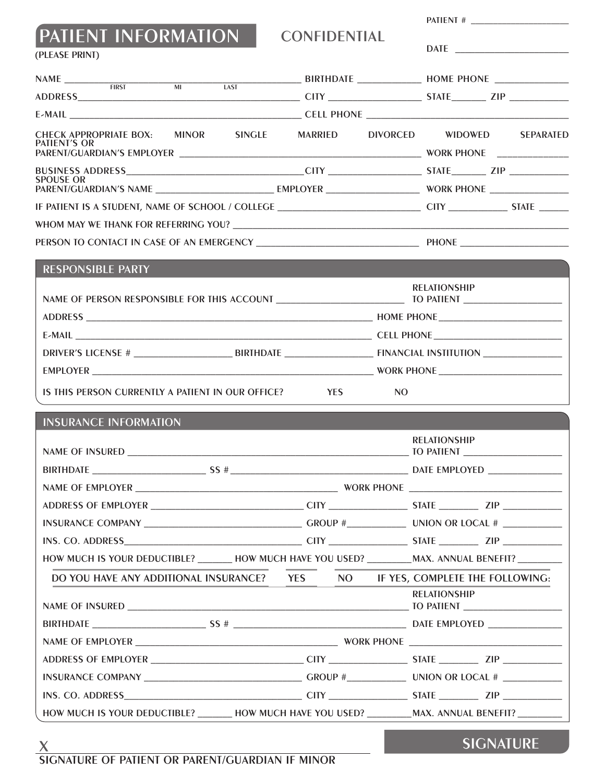| PATIENT INFORMATION | <b>CONFIDENTIAL</b> | <b>DATE</b>           |
|---------------------|---------------------|-----------------------|
| (PLEASE PRINT)      |                     |                       |
| NIA NAF             | <b>DIDTUD ATE</b>   | $I I \cap M F$ DIIONE |

| PATIENT'S OR |  |  |  |  |  |  | CHECK APPROPRIATE BOX: MINOR SINGLE MARRIED DIVORCED WIDOWED SEPARATED |
|--------------|--|--|--|--|--|--|------------------------------------------------------------------------|
|              |  |  |  |  |  |  |                                                                        |
|              |  |  |  |  |  |  |                                                                        |
| SPOUSE OR    |  |  |  |  |  |  |                                                                        |
|              |  |  |  |  |  |  |                                                                        |
|              |  |  |  |  |  |  |                                                                        |
|              |  |  |  |  |  |  |                                                                        |

| <b>RESPONSIBLE PARTY</b>                                   |                     |
|------------------------------------------------------------|---------------------|
|                                                            | <b>RELATIONSHIP</b> |
|                                                            |                     |
|                                                            |                     |
|                                                            |                     |
|                                                            |                     |
| IS THIS PERSON CURRENTLY A PATIENT IN OUR OFFICE? THIS PES | N <sub>O</sub>      |

## INSURANCE INFORMATION

|                                                                                                      |  | <b>RELATIONSHIP</b> |  |
|------------------------------------------------------------------------------------------------------|--|---------------------|--|
|                                                                                                      |  |                     |  |
|                                                                                                      |  |                     |  |
|                                                                                                      |  |                     |  |
|                                                                                                      |  |                     |  |
|                                                                                                      |  |                     |  |
| HOW MUCH IS YOUR DEDUCTIBLE? _______ HOW MUCH HAVE YOU USED? _________MAX. ANNUAL BENEFIT? _________ |  |                     |  |
| DO YOU HAVE ANY ADDITIONAL INSURANCE? YES NO IF YES, COMPLETE THE FOLLOWING:                         |  |                     |  |
|                                                                                                      |  | <b>RELATIONSHIP</b> |  |
|                                                                                                      |  |                     |  |
|                                                                                                      |  |                     |  |
|                                                                                                      |  |                     |  |
|                                                                                                      |  |                     |  |
|                                                                                                      |  |                     |  |
| HOW MUCH IS YOUR DEDUCTIBLE? _______ HOW MUCH HAVE YOU USED? ________MAX. ANNUAL BENEFIT? _________  |  |                     |  |

## $\frac{\chi}{\text{SIGNATURE OF PAIIENT OR PARENT/GUARDIAN IF MINOR}}$

SIGNATURE

PATIENT # \_\_\_\_\_\_\_\_\_\_\_\_\_\_\_\_\_\_\_\_\_\_